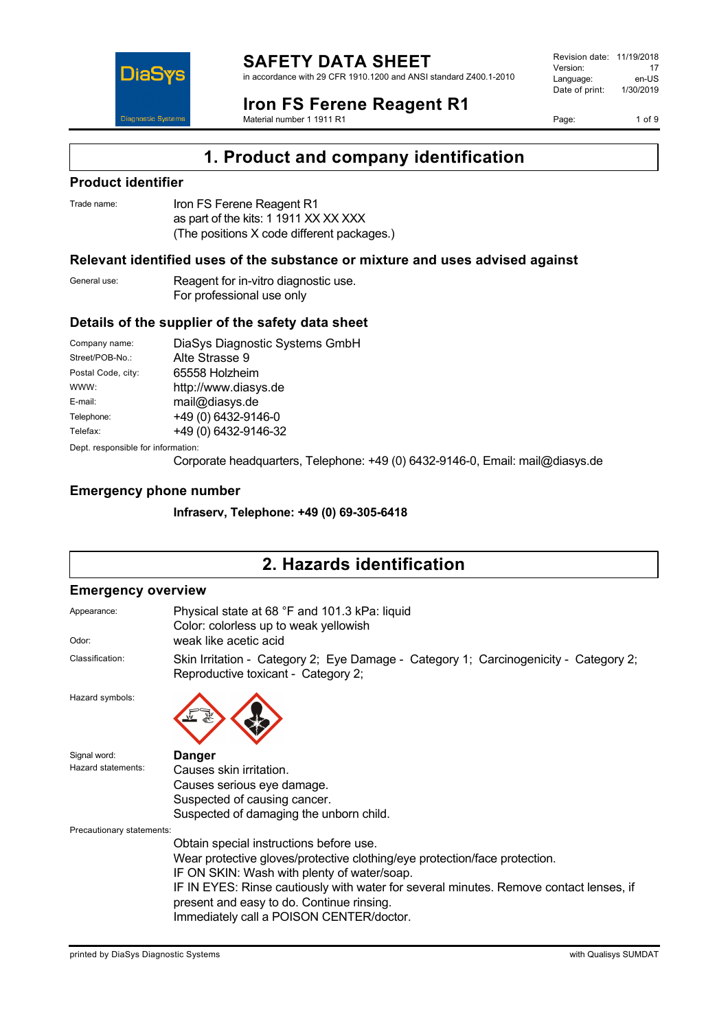



# **Iron FS Ferene Reagent R1**

Material number 1 1911 R1

Revision date: 11/19/2018 Version: 17<br>
Language: en-US Language: Date of print: 1/30/2019

Page: 1 of 9

# **1. Product and company identification**

## **Product identifier**

| Trade name: | Iron FS Ferene Reagent R1                  |
|-------------|--------------------------------------------|
|             | as part of the kits: 1 1911 XX XX XXX      |
|             | (The positions X code different packages.) |

### **Relevant identified uses of the substance or mixture and uses advised against**

| General use: | Reagent for in-vitro diagnostic use. |
|--------------|--------------------------------------|
|              | For professional use only            |

## **Details of the supplier of the safety data sheet**

| Company name:                      | DiaSys Diagnostic Systems GmbH |
|------------------------------------|--------------------------------|
| Street/POB-No.:                    | Alte Strasse 9                 |
| Postal Code, city:                 | 65558 Holzheim                 |
| WWW:                               | http://www.diasys.de           |
| E-mail:                            | mail@diasys.de                 |
| Telephone:                         | +49 (0) 6432-9146-0            |
| Telefax:                           | +49 (0) 6432-9146-32           |
| Dept. responsible for information: |                                |

Corporate headquarters, Telephone: +49 (0) 6432-9146-0, Email: mail@diasys.de

## **Emergency phone number**

**Infraserv, Telephone: +49 (0) 69-305-6418**

# **2. Hazards identification**

#### **Emergency overview**

| Appearance:<br>Odor:      | Physical state at 68 °F and 101.3 kPa: liquid<br>Color: colorless up to weak yellowish<br>weak like acetic acid                                                                                                                |  |  |
|---------------------------|--------------------------------------------------------------------------------------------------------------------------------------------------------------------------------------------------------------------------------|--|--|
| Classification:           | Skin Irritation - Category 2; Eye Damage - Category 1; Carcinogenicity - Category 2;<br>Reproductive toxicant - Category 2;                                                                                                    |  |  |
| Hazard symbols:           |                                                                                                                                                                                                                                |  |  |
| Signal word:              | <b>Danger</b>                                                                                                                                                                                                                  |  |  |
| Hazard statements:        | Causes skin irritation.                                                                                                                                                                                                        |  |  |
|                           | Causes serious eye damage.                                                                                                                                                                                                     |  |  |
|                           | Suspected of causing cancer.                                                                                                                                                                                                   |  |  |
|                           | Suspected of damaging the unborn child.                                                                                                                                                                                        |  |  |
| Precautionary statements: |                                                                                                                                                                                                                                |  |  |
|                           | Obtain special instructions before use.                                                                                                                                                                                        |  |  |
|                           | Wear protective gloves/protective clothing/eye protection/face protection.                                                                                                                                                     |  |  |
|                           | IF ON SKIN: Wash with plenty of water/soap.<br>IF IN EYES: Rinse cautiously with water for several minutes. Remove contact lenses, if<br>present and easy to do. Continue rinsing.<br>Immediately call a POISON CENTER/doctor. |  |  |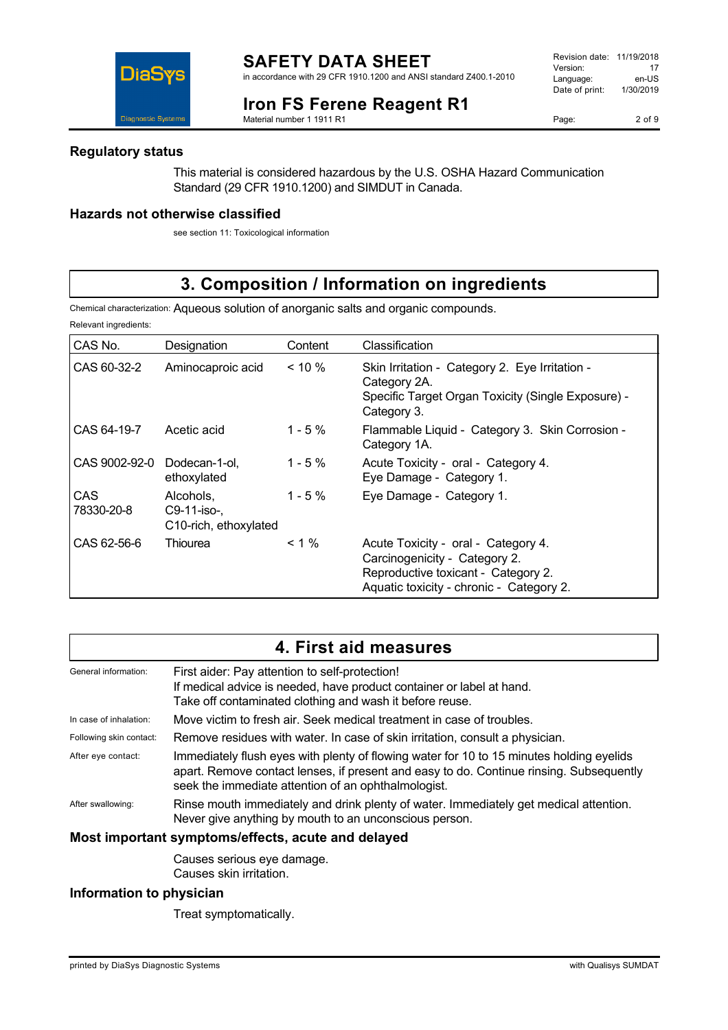#### **Iron FS Ferene Reagent R1** Material number 1 1911 R1

Revision date: 11/19/2018 Version: 17<br>
Language: en-US Language: Date of print: 1/30/2019

Page: 2 of 9



## **Regulatory status**

This material is considered hazardous by the U.S. OSHA Hazard Communication Standard (29 CFR 1910.1200) and SIMDUT in Canada.

## **Hazards not otherwise classified**

see section 11: Toxicological information

# **3. Composition / Information on ingredients**

Chemical characterization: Aqueous solution of anorganic salts and organic compounds.

Relevant ingredients:

| CAS No.                  | Designation                                       | Content    | Classification                                                                                                                                          |
|--------------------------|---------------------------------------------------|------------|---------------------------------------------------------------------------------------------------------------------------------------------------------|
| CAS 60-32-2              | Aminocaproic acid                                 | $< 10 \%$  | Skin Irritation - Category 2. Eye Irritation -<br>Category 2A.<br>Specific Target Organ Toxicity (Single Exposure) -<br>Category 3.                     |
| CAS 64-19-7              | Acetic acid                                       | $1 - 5 \%$ | Flammable Liquid - Category 3. Skin Corrosion -<br>Category 1A.                                                                                         |
| CAS 9002-92-0            | Dodecan-1-ol,<br>ethoxylated                      | $1 - 5\%$  | Acute Toxicity - oral - Category 4.<br>Eye Damage - Category 1.                                                                                         |
| <b>CAS</b><br>78330-20-8 | Alcohols.<br>C9-11-iso-,<br>C10-rich, ethoxylated | $1 - 5 \%$ | Eye Damage - Category 1.                                                                                                                                |
| CAS 62-56-6              | Thiourea                                          | $< 1\%$    | Acute Toxicity - oral - Category 4.<br>Carcinogenicity - Category 2.<br>Reproductive toxicant - Category 2.<br>Aquatic toxicity - chronic - Category 2. |

| 4. First aid measures                              |                                                                                                                                                                                                                                            |  |  |
|----------------------------------------------------|--------------------------------------------------------------------------------------------------------------------------------------------------------------------------------------------------------------------------------------------|--|--|
| General information:                               | First aider: Pay attention to self-protection!<br>If medical advice is needed, have product container or label at hand.<br>Take off contaminated clothing and wash it before reuse.                                                        |  |  |
| In case of inhalation:                             | Move victim to fresh air. Seek medical treatment in case of troubles.                                                                                                                                                                      |  |  |
| Following skin contact:                            | Remove residues with water. In case of skin irritation, consult a physician.                                                                                                                                                               |  |  |
| After eye contact:                                 | Immediately flush eyes with plenty of flowing water for 10 to 15 minutes holding eyelids<br>apart. Remove contact lenses, if present and easy to do. Continue rinsing. Subsequently<br>seek the immediate attention of an ophthalmologist. |  |  |
| After swallowing:                                  | Rinse mouth immediately and drink plenty of water. Immediately get medical attention.<br>Never give anything by mouth to an unconscious person.                                                                                            |  |  |
| Most important symptoms/effects, acute and delayed |                                                                                                                                                                                                                                            |  |  |
|                                                    |                                                                                                                                                                                                                                            |  |  |

Causes serious eye damage. Causes skin irritation.

## **Information to physician**

Treat symptomatically.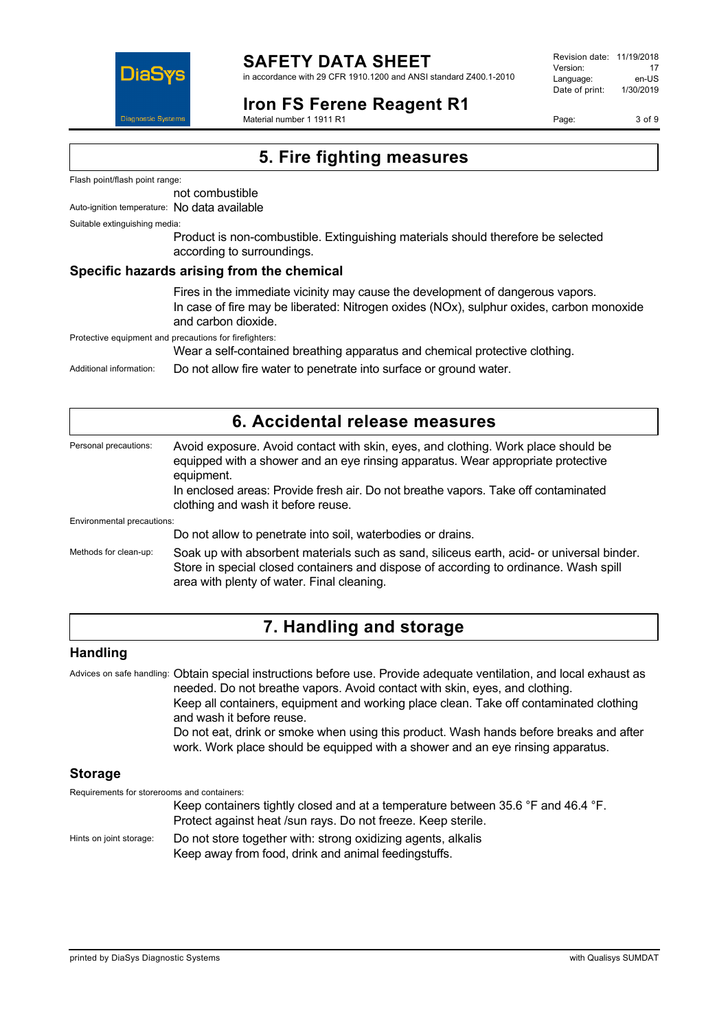

# **SAFETY DATA SHEET**

in accordance with 29 CFR 1910.1200 and ANSI standard Z400.1-2010

# **Iron FS Ferene Reagent R1**

Revision date: 11/19/2018 Version: 17<br>Language: en-LIS Language: en-US<br>Date of print: 1/30/2019 Date of print:

Page: 3 of 9

Material number 1 1911 R1

# **5. Fire fighting measures**

Flash point/flash point range:

not combustible

Auto-ignition temperature: No data available

Suitable extinguishing media:

Product is non-combustible. Extinguishing materials should therefore be selected according to surroundings.

#### **Specific hazards arising from the chemical**

Fires in the immediate vicinity may cause the development of dangerous vapors. In case of fire may be liberated: Nitrogen oxides (NOx), sulphur oxides, carbon monoxide and carbon dioxide.

Protective equipment and precautions for firefighters:

Wear a self-contained breathing apparatus and chemical protective clothing.

Additional information: Do not allow fire water to penetrate into surface or ground water.

| 6. Accidental release measures |                                                                                                                                                                                                                                                                                                                 |  |
|--------------------------------|-----------------------------------------------------------------------------------------------------------------------------------------------------------------------------------------------------------------------------------------------------------------------------------------------------------------|--|
| Personal precautions:          | Avoid exposure. Avoid contact with skin, eyes, and clothing. Work place should be<br>equipped with a shower and an eye rinsing apparatus. Wear appropriate protective<br>equipment.<br>In enclosed areas: Provide fresh air. Do not breathe vapors. Take off contaminated<br>clothing and wash it before reuse. |  |
| Environmental precautions:     |                                                                                                                                                                                                                                                                                                                 |  |
|                                | Do not allow to penetrate into soil, waterbodies or drains.                                                                                                                                                                                                                                                     |  |
| Methods for clean-up:          | Soak up with absorbent materials such as sand, siliceus earth, acid- or universal binder.<br>Store in special closed containers and dispose of according to ordinance. Wash spill<br>area with plenty of water. Final cleaning.                                                                                 |  |

# **7. Handling and storage**

## **Handling**

Advices on safe handling: Obtain special instructions before use. Provide adequate ventilation, and local exhaust as needed. Do not breathe vapors. Avoid contact with skin, eyes, and clothing. Keep all containers, equipment and working place clean. Take off contaminated clothing and wash it before reuse. Do not eat, drink or smoke when using this product. Wash hands before breaks and after work. Work place should be equipped with a shower and an eye rinsing apparatus.

## **Storage**

Requirements for storerooms and containers:

|                         | Keep containers tightly closed and at a temperature between 35.6 °F and 46.4 °F.<br>Protect against heat /sun rays. Do not freeze. Keep sterile. |
|-------------------------|--------------------------------------------------------------------------------------------------------------------------------------------------|
| Hints on joint storage: | Do not store together with: strong oxidizing agents, alkalis<br>Keep away from food, drink and animal feedingstuffs.                             |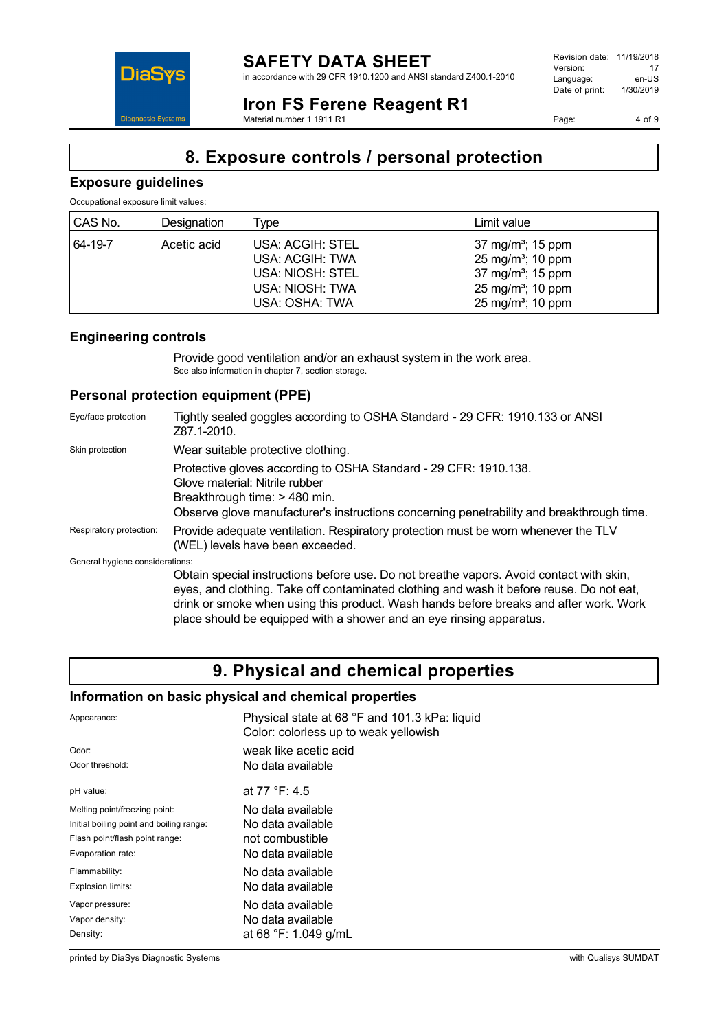Revision date: 11/19/2018 Version: 17<br>
Language: en-US Language: Date of print: 1/30/2019

Page: 4 of 9

# **DiaS Diagnostic System**

#### **Iron FS Ferene Reagent R1** Material number 1 1911 R1

**8. Exposure controls / personal protection**

# **Exposure guidelines**

Occupational exposure limit values:

| CAS No. | Designation | Type                                                                                         | Limit value                                                                                                                                                       |
|---------|-------------|----------------------------------------------------------------------------------------------|-------------------------------------------------------------------------------------------------------------------------------------------------------------------|
| 64-19-7 | Acetic acid | USA: ACGIH: STEL<br>USA: ACGIH: TWA<br>USA: NIOSH: STEL<br>USA: NIOSH: TWA<br>USA: OSHA: TWA | 37 mg/m <sup>3</sup> ; 15 ppm<br>25 mg/m <sup>3</sup> ; 10 ppm<br>37 mg/m <sup>3</sup> ; 15 ppm<br>25 mg/m <sup>3</sup> ; 10 ppm<br>25 mg/m <sup>3</sup> ; 10 ppm |

# **Engineering controls**

Provide good ventilation and/or an exhaust system in the work area. See also information in chapter 7, section storage.

# **Personal protection equipment (PPE)**

| Eye/face protection             | Tightly sealed goggles according to OSHA Standard - 29 CFR: 1910.133 or ANSI<br>Z87.1-2010.                                                                                                                                                                                                                                                          |
|---------------------------------|------------------------------------------------------------------------------------------------------------------------------------------------------------------------------------------------------------------------------------------------------------------------------------------------------------------------------------------------------|
| Skin protection                 | Wear suitable protective clothing.                                                                                                                                                                                                                                                                                                                   |
|                                 | Protective gloves according to OSHA Standard - 29 CFR: 1910.138.<br>Glove material: Nitrile rubber<br>Breakthrough time: > 480 min.<br>Observe glove manufacturer's instructions concerning penetrability and breakthrough time.                                                                                                                     |
| Respiratory protection:         | Provide adequate ventilation. Respiratory protection must be worn whenever the TLV<br>(WEL) levels have been exceeded.                                                                                                                                                                                                                               |
| General hygiene considerations: |                                                                                                                                                                                                                                                                                                                                                      |
|                                 | Obtain special instructions before use. Do not breathe vapors. Avoid contact with skin,<br>eyes, and clothing. Take off contaminated clothing and wash it before reuse. Do not eat,<br>drink or smoke when using this product. Wash hands before breaks and after work. Work<br>place should be equipped with a shower and an eye rinsing apparatus. |

# **9. Physical and chemical properties**

## **Information on basic physical and chemical properties**

| Appearance:                              | Physical state at 68 °F and 101.3 kPa: liquid<br>Color: colorless up to weak yellowish |
|------------------------------------------|----------------------------------------------------------------------------------------|
| Odor:                                    | weak like acetic acid                                                                  |
| Odor threshold:                          | No data available                                                                      |
| pH value:                                | at 77 °F: 4.5                                                                          |
| Melting point/freezing point:            | No data available                                                                      |
| Initial boiling point and boiling range: | No data available                                                                      |
| Flash point/flash point range:           | not combustible                                                                        |
| Evaporation rate:                        | No data available                                                                      |
| Flammability:                            | No data available                                                                      |
| Explosion limits:                        | No data available                                                                      |
| Vapor pressure:                          | No data available                                                                      |
| Vapor density:                           | No data available                                                                      |
| Density:                                 | at 68 °F: 1.049 g/mL                                                                   |

printed by DiaSys Diagnostic Systems with Qualisys SUMDAT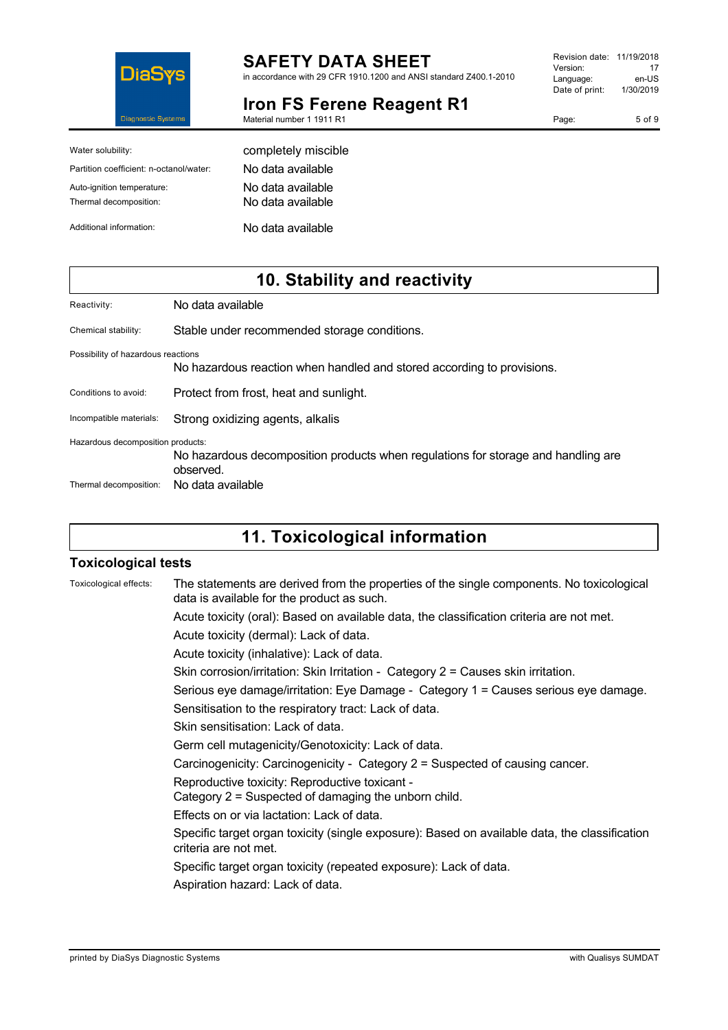

# **SAFETY DATA SHEET**

in accordance with 29 CFR 1910.1200 and ANSI standard Z400.1-2010

# **Iron FS Ferene Reagent R1**

| Revision date: | 11/19/2018 |
|----------------|------------|
| Version:       | 17         |
| Language:      | en-US      |
| Date of print: | 1/30/2019  |
|                |            |

Page: 5 of 9

Material number 1 1911 R1

| Water solubility:                                    | completely miscible                    |
|------------------------------------------------------|----------------------------------------|
| Partition coefficient: n-octanol/water:              | No data available                      |
| Auto-ignition temperature:<br>Thermal decomposition: | No data available<br>No data available |
| Additional information:                              | No data available                      |

# **10. Stability and reactivity**

Chemical stability: Stable under recommended storage conditions.

Possibility of hazardous reactions No hazardous reaction when handled and stored according to provisions.

Conditions to avoid: Protect from frost, heat and sunlight.

Incompatible materials: Strong oxidizing agents, alkalis

Hazardous decomposition products:

No hazardous decomposition products when regulations for storage and handling are observed. Thermal decomposition: No data available

**11. Toxicological information**

## **Toxicological tests**

| Toxicological effects: | The statements are derived from the properties of the single components. No toxicological<br>data is available for the product as such. |
|------------------------|-----------------------------------------------------------------------------------------------------------------------------------------|
|                        | Acute toxicity (oral): Based on available data, the classification criteria are not met.                                                |
|                        | Acute toxicity (dermal): Lack of data.                                                                                                  |
|                        | Acute toxicity (inhalative): Lack of data.                                                                                              |
|                        | Skin corrosion/irritation: Skin Irritation - Category $2 =$ Causes skin irritation.                                                     |
|                        | Serious eye damage/irritation: Eye Damage - Category 1 = Causes serious eye damage.                                                     |
|                        | Sensitisation to the respiratory tract: Lack of data.                                                                                   |
|                        | Skin sensitisation: Lack of data.                                                                                                       |
|                        | Germ cell mutagenicity/Genotoxicity: Lack of data.                                                                                      |
|                        | Carcinogenicity: Carcinogenicity - Category 2 = Suspected of causing cancer.                                                            |
|                        | Reproductive toxicity: Reproductive toxicant -<br>Category 2 = Suspected of damaging the unborn child.                                  |
|                        | Effects on or via lactation: Lack of data.                                                                                              |
|                        | Specific target organ toxicity (single exposure): Based on available data, the classification<br>criteria are not met.                  |
|                        | Specific target organ toxicity (repeated exposure): Lack of data.                                                                       |
|                        | Aspiration hazard: Lack of data.                                                                                                        |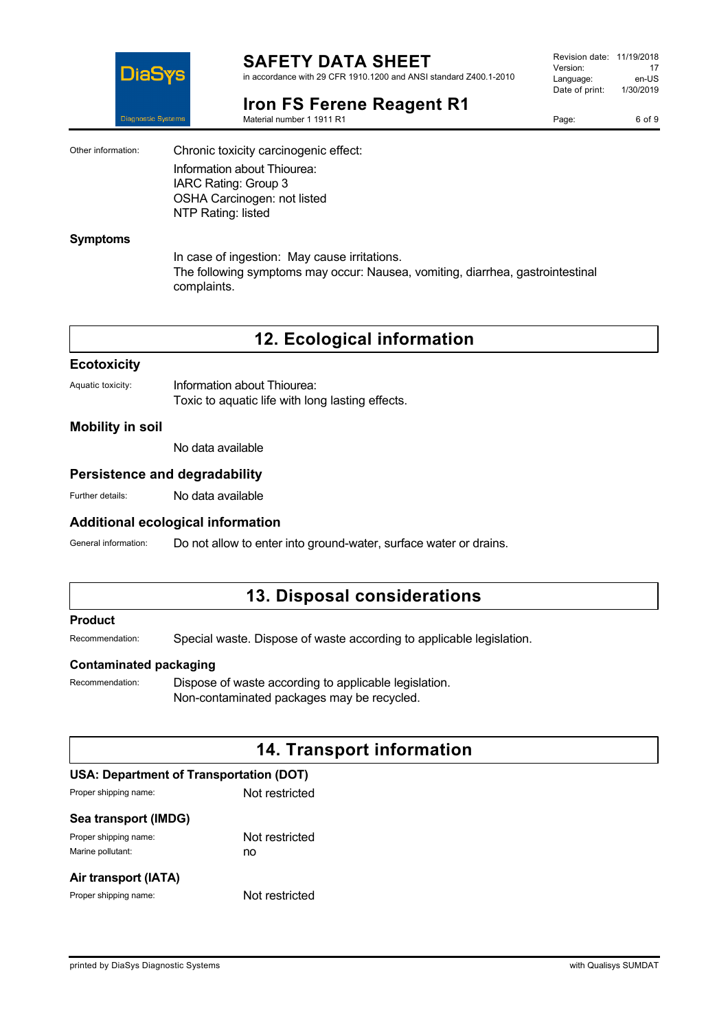

#### **SAFETY DATA SHEET** in accordance with 29 CFR 1910.1200 and ANSI standard Z400.1-2010

**Iron FS Ferene Reagent R1**

Material number 1 1911 R1

Revision date: 11/19/2018 Version: 17<br>Language: en-LIS Language: en-US<br>Date of print: 1/30/2019  $Date$  of print:

Page: 6 of 9

Other information: Chronic toxicity carcinogenic effect: Information about Thiourea: IARC Rating: Group 3 OSHA Carcinogen: not listed NTP Rating: listed

#### **Symptoms**

In case of ingestion: May cause irritations. The following symptoms may occur: Nausea, vomiting, diarrhea, gastrointestinal complaints.

**12. Ecological information**

#### **Ecotoxicity**

| Aquatic toxicity: | Information about Thiourea:                      |
|-------------------|--------------------------------------------------|
|                   | Toxic to aquatic life with long lasting effects. |

## **Mobility in soil**

No data available

#### **Persistence and degradability**

Further details: No data available

#### **Additional ecological information**

General information: Do not allow to enter into ground-water, surface water or drains.

# **13. Disposal considerations**

#### **Product**

Recommendation: Special waste. Dispose of waste according to applicable legislation.

#### **Contaminated packaging**

Recommendation: Dispose of waste according to applicable legislation. Non-contaminated packages may be recycled.

# **14. Transport information**

# **USA: Department of Transportation (DOT)**

| Proper shipping name: | Not restricted |
|-----------------------|----------------|
| Sea transport (IMDG)  |                |
| Proper shipping name: | Not restricted |
| Marine pollutant:     | no             |
| Air transport (IATA)  |                |

Proper shipping name: Not restricted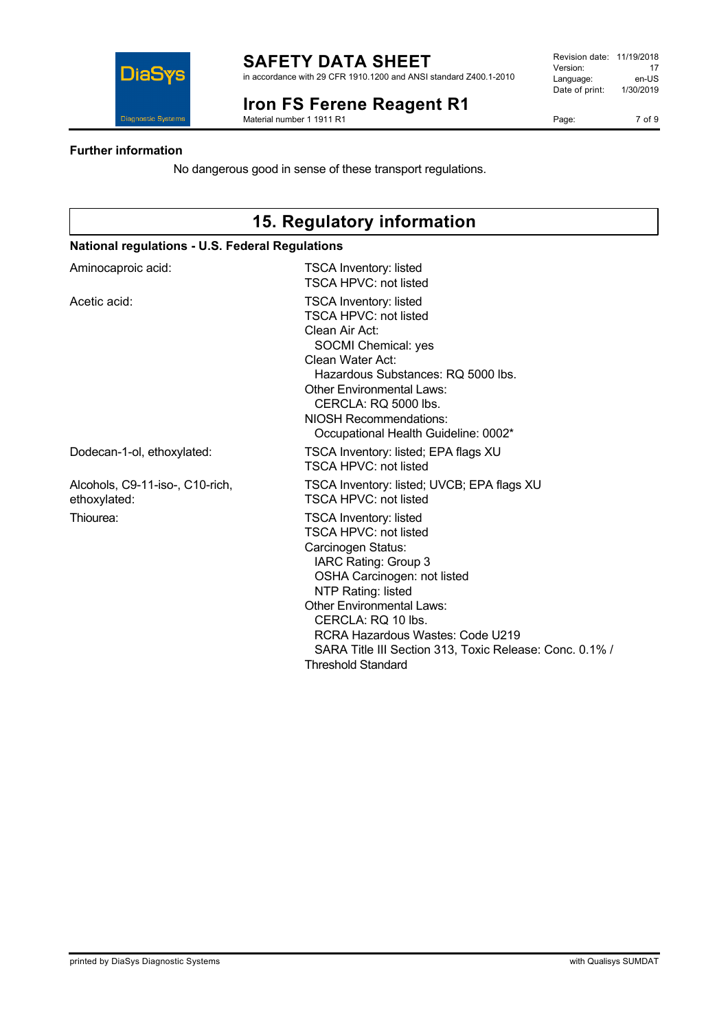

### **SAFETY DATA SHEET** in accordance with 29 CFR 1910.1200 and ANSI standard Z400.1-2010

**Iron FS Ferene Reagent R1**

Material number 1 1911 R1

| Revision date: | 11/19/2018 |
|----------------|------------|
| Version:       | 17         |
| Language:      | en-US      |
| Date of print: | 1/30/2019  |
|                |            |

Page: 7 of 9

## **Further information**

**DiaSy** 

**Diagnostic System** 

No dangerous good in sense of these transport regulations.

| 15. Regulatory information                      |                                                                                                                                                                                                                                                                                                                                                        |  |  |
|-------------------------------------------------|--------------------------------------------------------------------------------------------------------------------------------------------------------------------------------------------------------------------------------------------------------------------------------------------------------------------------------------------------------|--|--|
|                                                 | <b>National regulations - U.S. Federal Regulations</b>                                                                                                                                                                                                                                                                                                 |  |  |
| Aminocaproic acid:                              | <b>TSCA Inventory: listed</b><br>TSCA HPVC: not listed                                                                                                                                                                                                                                                                                                 |  |  |
| Acetic acid:                                    | <b>TSCA Inventory: listed</b><br><b>TSCA HPVC: not listed</b><br>Clean Air Act:<br>SOCMI Chemical: yes<br>Clean Water Act:<br>Hazardous Substances: RQ 5000 lbs.<br><b>Other Environmental Laws:</b><br>CERCLA: RQ 5000 lbs.<br><b>NIOSH Recommendations:</b><br>Occupational Health Guideline: 0002*                                                  |  |  |
| Dodecan-1-ol, ethoxylated:                      | TSCA Inventory: listed; EPA flags XU<br><b>TSCA HPVC: not listed</b>                                                                                                                                                                                                                                                                                   |  |  |
| Alcohols, C9-11-iso-, C10-rich,<br>ethoxylated: | TSCA Inventory: listed; UVCB; EPA flags XU<br><b>TSCA HPVC: not listed</b>                                                                                                                                                                                                                                                                             |  |  |
| Thiourea:                                       | <b>TSCA Inventory: listed</b><br><b>TSCA HPVC: not listed</b><br>Carcinogen Status:<br>IARC Rating: Group 3<br>OSHA Carcinogen: not listed<br>NTP Rating: listed<br><b>Other Environmental Laws:</b><br>CERCLA: RQ 10 lbs.<br>RCRA Hazardous Wastes: Code U219<br>SARA Title III Section 313, Toxic Release: Conc. 0.1% /<br><b>Threshold Standard</b> |  |  |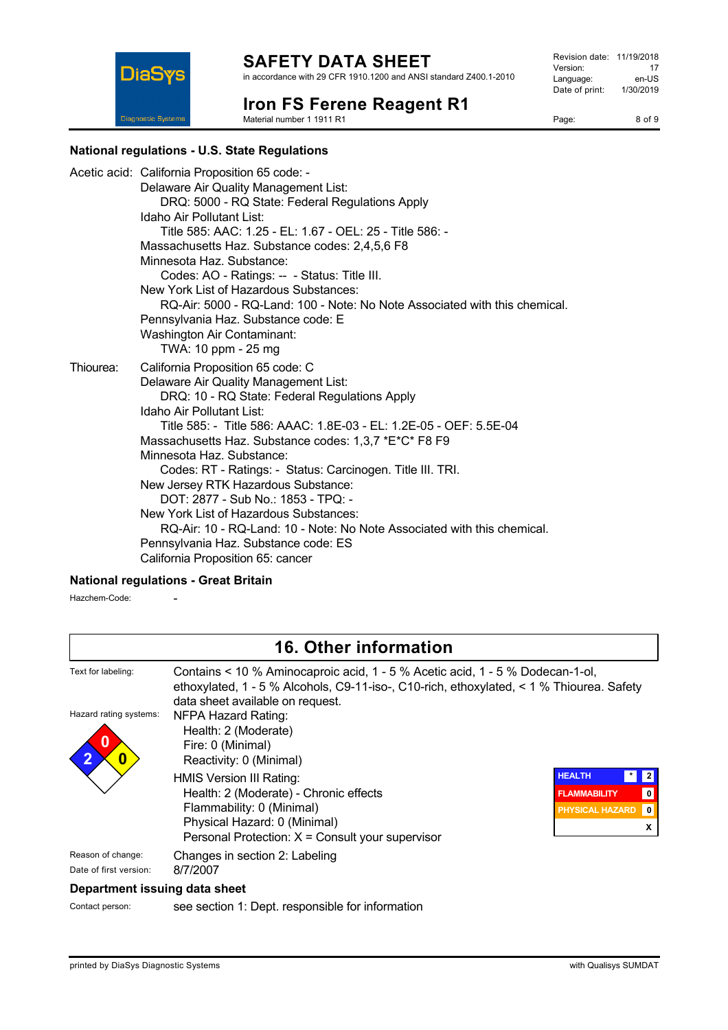**Iron FS Ferene Reagent R1**

Material number 1 1911 R1

| Revision date: | 11/19/2018 |
|----------------|------------|
| Version:       | 17         |
| Language:      | en-US      |
| Date of print: | 1/30/2019  |
|                |            |

Page: 8 of 9

## **National regulations - U.S. State Regulations**

**DiaSys** 

**Diagnostic Systems** 

|           | Acetic acid: California Proposition 65 code: -<br>Delaware Air Quality Management List:<br>DRQ: 5000 - RQ State: Federal Regulations Apply<br>Idaho Air Pollutant List:<br>Title 585: AAC: 1.25 - EL: 1.67 - OEL: 25 - Title 586: -<br>Massachusetts Haz. Substance codes: 2,4,5,6 F8<br>Minnesota Haz, Substance:<br>Codes: AO - Ratings: -- - Status: Title III.<br>New York List of Hazardous Substances:                                                                                                                                                                                                                                                      |
|-----------|-------------------------------------------------------------------------------------------------------------------------------------------------------------------------------------------------------------------------------------------------------------------------------------------------------------------------------------------------------------------------------------------------------------------------------------------------------------------------------------------------------------------------------------------------------------------------------------------------------------------------------------------------------------------|
|           | RQ-Air: 5000 - RQ-Land: 100 - Note: No Note Associated with this chemical.<br>Pennsylvania Haz. Substance code: E<br><b>Washington Air Contaminant:</b><br>TWA: 10 ppm - 25 mg                                                                                                                                                                                                                                                                                                                                                                                                                                                                                    |
| Thiourea: | California Proposition 65 code: C<br>Delaware Air Quality Management List:<br>DRQ: 10 - RQ State: Federal Regulations Apply<br>Idaho Air Pollutant List:<br>Title 585: - Title 586: AAAC: 1.8E-03 - EL: 1.2E-05 - OEF: 5.5E-04<br>Massachusetts Haz. Substance codes: 1,3,7 *E*C* F8 F9<br>Minnesota Haz, Substance:<br>Codes: RT - Ratings: - Status: Carcinogen. Title III. TRI.<br>New Jersey RTK Hazardous Substance:<br>DOT: 2877 - Sub No.: 1853 - TPQ: -<br>New York List of Hazardous Substances:<br>RQ-Air: 10 - RQ-Land: 10 - Note: No Note Associated with this chemical.<br>Pennsylvania Haz. Substance code: ES<br>California Proposition 65: cancer |

## **National regulations - Great Britain**

Hazchem-Code: -

| 16. Other information                       |                                                                                                                                                                                                               |                                                                                                        |
|---------------------------------------------|---------------------------------------------------------------------------------------------------------------------------------------------------------------------------------------------------------------|--------------------------------------------------------------------------------------------------------|
| Text for labeling:                          | Contains < 10 % Aminocaproic acid, 1 - 5 % Acetic acid, 1 - 5 % Dodecan-1-ol,<br>ethoxylated, 1 - 5 % Alcohols, C9-11-iso-, C10-rich, ethoxylated, < 1 % Thiourea. Safety<br>data sheet available on request. |                                                                                                        |
| Hazard rating systems:<br>0                 | NFPA Hazard Rating:<br>Health: 2 (Moderate)<br>Fire: 0 (Minimal)<br>Reactivity: 0 (Minimal)                                                                                                                   |                                                                                                        |
|                                             | HMIS Version III Rating:<br>Health: 2 (Moderate) - Chronic effects<br>Flammability: 0 (Minimal)<br>Physical Hazard: 0 (Minimal)<br>Personal Protection: $X =$ Consult your supervisor                         | <b>HEALTH</b><br>*<br>$\mathbf 0$<br><b>FLAMMABILITY</b><br><b>PHYSICAL HAZARD</b><br>$\mathbf 0$<br>X |
| Reason of change:<br>Date of first version: | Changes in section 2: Labeling<br>8/7/2007                                                                                                                                                                    |                                                                                                        |
| Department issuing data sheet               |                                                                                                                                                                                                               |                                                                                                        |

Contact person: see section 1: Dept. responsible for information